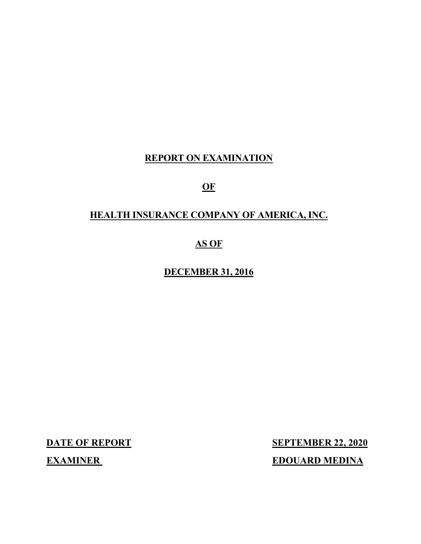## **REPORT ON EXAMINATION**

## **OF**

## **HEALTH INSURANCE COMPANY OF AMERICA, INC.**

## **AS OF**

## **DECEMBER 31, 2016**

**DATE OF REPORT SEPTEMBER 22, 2020 EXAMINER EDOUARD MEDINA**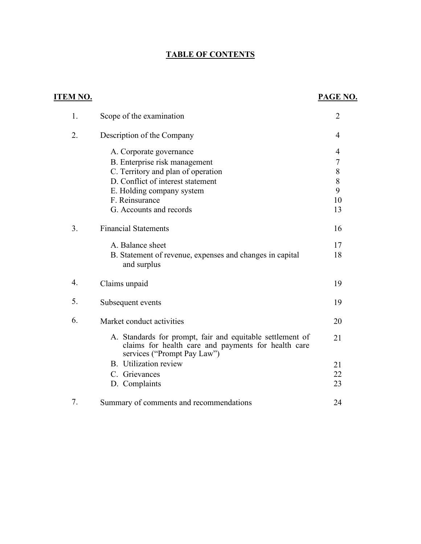## **TABLE OF CONTENTS**

| <u>ITEM NO.</u> |                                                                                                                                                 | PAGE NO.       |
|-----------------|-------------------------------------------------------------------------------------------------------------------------------------------------|----------------|
| 1.              | Scope of the examination                                                                                                                        | 2              |
| 2.              | Description of the Company                                                                                                                      | $\overline{4}$ |
|                 | A. Corporate governance                                                                                                                         | $\overline{4}$ |
|                 | B. Enterprise risk management                                                                                                                   | 7              |
|                 | C. Territory and plan of operation                                                                                                              | $\,$ $\,$      |
|                 | D. Conflict of interest statement                                                                                                               | 8              |
|                 | E. Holding company system                                                                                                                       | 9              |
|                 | F. Reinsurance                                                                                                                                  | 10             |
|                 | G. Accounts and records                                                                                                                         | 13             |
| 3.              | <b>Financial Statements</b>                                                                                                                     | 16             |
|                 | A. Balance sheet                                                                                                                                | 17             |
|                 | B. Statement of revenue, expenses and changes in capital<br>and surplus                                                                         | 18             |
| 4.              | Claims unpaid                                                                                                                                   | 19             |
| 5.              | Subsequent events                                                                                                                               | 19             |
| 6.              | Market conduct activities                                                                                                                       | 20             |
|                 | A. Standards for prompt, fair and equitable settlement of<br>claims for health care and payments for health care<br>services ("Prompt Pay Law") | 21             |
|                 | B. Utilization review                                                                                                                           | 21             |
|                 | C. Grievances                                                                                                                                   | 22             |
|                 | D. Complaints                                                                                                                                   | 23             |
| 7.              | Summary of comments and recommendations                                                                                                         | 24             |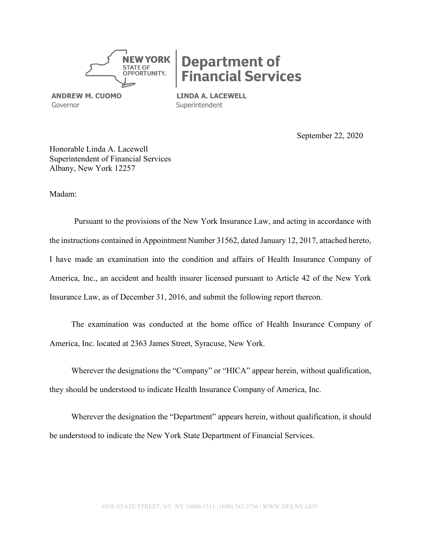

# **Department of Financial Services**

**ANDREW M. CUOMO LINDA A. LACEWELL**<br>
Governor **Superintendent** 

Superintendent

September 22, 2020

Honorable Linda A. Lacewell Superintendent of Financial Services Albany, New York 12257

Madam:

Pursuant to the provisions of the New York Insurance Law, and acting in accordance with the instructions contained in Appointment Number 31562, dated January 12, 2017, attached hereto, I have made an examination into the condition and affairs of Health Insurance Company of America, Inc., an accident and health insurer licensed pursuant to Article 42 of the New York Insurance Law, as of December 31, 2016, and submit the following report thereon.

The examination was conducted at the home office of Health Insurance Company of America, Inc. located at 2363 James Street, Syracuse, New York.

Wherever the designations the "Company" or "HICA" appear herein, without qualification, they should be understood to indicate Health Insurance Company of America, Inc.

Wherever the designation the "Department" appears herein, without qualification, it should be understood to indicate the New York State Department of Financial Services.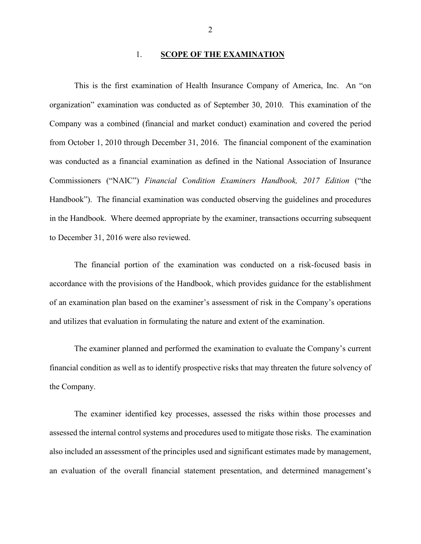#### 1. **SCOPE OF THE EXAMINATION**

This is the first examination of Health Insurance Company of America, Inc. An "on organization" examination was conducted as of September 30, 2010. This examination of the Company was a combined (financial and market conduct) examination and covered the period from October 1, 2010 through December 31, 2016. The financial component of the examination was conducted as a financial examination as defined in the National Association of Insurance Commissioners ("NAIC") *Financial Condition Examiners Handbook, 2017 Edition* ("the Handbook"). The financial examination was conducted observing the guidelines and procedures in the Handbook. Where deemed appropriate by the examiner, transactions occurring subsequent to December 31, 2016 were also reviewed.

The financial portion of the examination was conducted on a risk-focused basis in accordance with the provisions of the Handbook, which provides guidance for the establishment of an examination plan based on the examiner's assessment of risk in the Company's operations and utilizes that evaluation in formulating the nature and extent of the examination.

The examiner planned and performed the examination to evaluate the Company's current financial condition as well as to identify prospective risks that may threaten the future solvency of the Company.

The examiner identified key processes, assessed the risks within those processes and assessed the internal control systems and procedures used to mitigate those risks. The examination also included an assessment of the principles used and significant estimates made by management, an evaluation of the overall financial statement presentation, and determined management's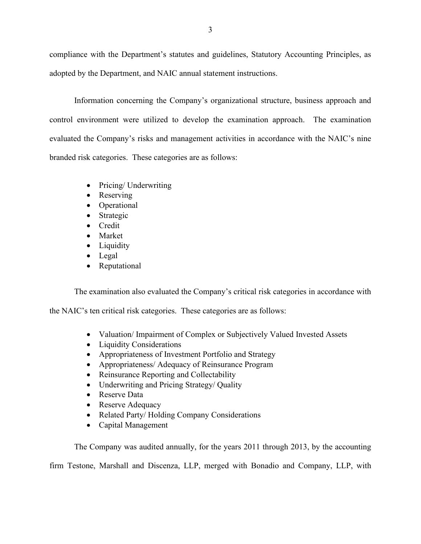compliance with the Department's statutes and guidelines, Statutory Accounting Principles, as adopted by the Department, and NAIC annual statement instructions.

Information concerning the Company's organizational structure, business approach and control environment were utilized to develop the examination approach. The examination evaluated the Company's risks and management activities in accordance with the NAIC's nine branded risk categories. These categories are as follows:

- Pricing/ Underwriting
- Reserving
- Operational
- Strategic
- Credit
- Market
- Liquidity
- Legal
- Reputational

The examination also evaluated the Company's critical risk categories in accordance with

the NAIC's ten critical risk categories. These categories are as follows:

- Valuation/ Impairment of Complex or Subjectively Valued Invested Assets
- Liquidity Considerations
- Appropriateness of Investment Portfolio and Strategy
- Appropriateness/ Adequacy of Reinsurance Program
- Reinsurance Reporting and Collectability
- Underwriting and Pricing Strategy/ Quality
- Reserve Data
- Reserve Adequacy
- Related Party/ Holding Company Considerations
- Capital Management

The Company was audited annually, for the years 2011 through 2013, by the accounting

firm Testone, Marshall and Discenza, LLP, merged with Bonadio and Company, LLP, with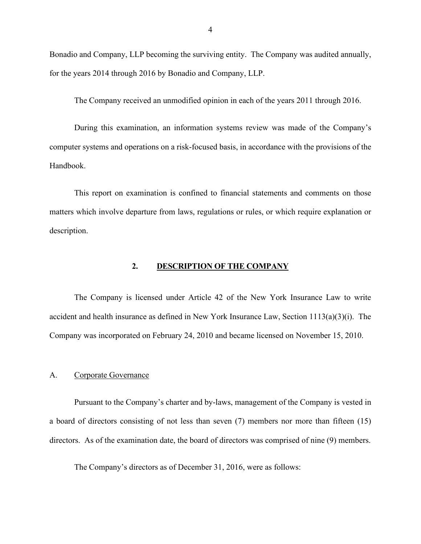Bonadio and Company, LLP becoming the surviving entity. The Company was audited annually, for the years 2014 through 2016 by Bonadio and Company, LLP.

The Company received an unmodified opinion in each of the years 2011 through 2016.

During this examination, an information systems review was made of the Company's computer systems and operations on a risk-focused basis, in accordance with the provisions of the Handbook.

This report on examination is confined to financial statements and comments on those matters which involve departure from laws, regulations or rules, or which require explanation or description.

#### **2. DESCRIPTION OF THE COMPANY**

The Company is licensed under Article 42 of the New York Insurance Law to write accident and health insurance as defined in New York Insurance Law, Section 1113(a)(3)(i). The Company was incorporated on February 24, 2010 and became licensed on November 15, 2010.

#### A. Corporate Governance

Pursuant to the Company's charter and by-laws, management of the Company is vested in a board of directors consisting of not less than seven (7) members nor more than fifteen (15) directors. As of the examination date, the board of directors was comprised of nine (9) members.

The Company's directors as of December 31, 2016, were as follows: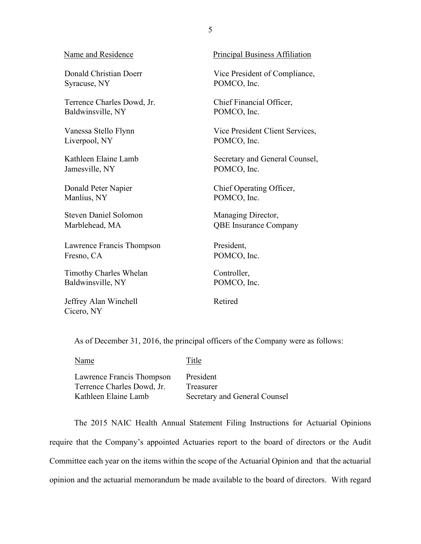Syracuse, NY POMCO, Inc.

Terrence Charles Dowd, Jr. Chief Financial Officer, Baldwinsville, NY POMCO, Inc.

Liverpool, NY POMCO, Inc.

Jamesville, NY POMCO, Inc.

Manlius, NY POMCO, Inc.

Steven Daniel Solomon Managing Director,

Lawrence Francis Thompson President, Fresno, CA POMCO, Inc.

Timothy Charles Whelan Controller, Baldwinsville, NY POMCO, Inc.

Jeffrey Alan Winchell Retired Cicero, NY

Name and Residence Principal Business Affiliation

Donald Christian Doerr Vice President of Compliance,

Vanessa Stello Flynn Vice President Client Services,

Kathleen Elaine Lamb Secretary and General Counsel,

Donald Peter Napier **Chief Operating Officer**,

Marblehead, MA QBE Insurance Company

As of December 31, 2016, the principal officers of the Company were as follows:

Name Title

Lawrence Francis Thompson President Terrence Charles Dowd, Jr. Treasurer

Kathleen Elaine Lamb Secretary and General Counsel

The 2015 NAIC Health Annual Statement Filing Instructions for Actuarial Opinions require that the Company's appointed Actuaries report to the board of directors or the Audit Committee each year on the items within the scope of the Actuarial Opinion and that the actuarial opinion and the actuarial memorandum be made available to the board of directors. With regard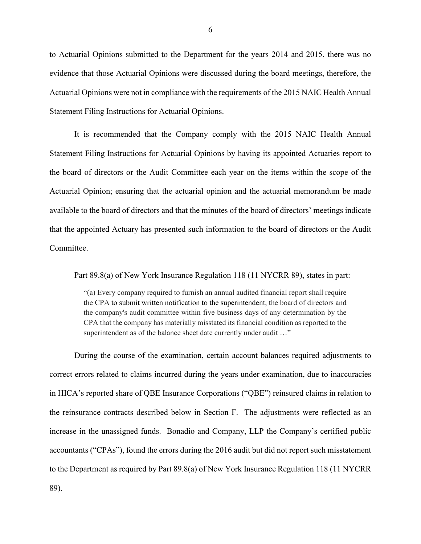to Actuarial Opinions submitted to the Department for the years 2014 and 2015, there was no evidence that those Actuarial Opinions were discussed during the board meetings, therefore, the Actuarial Opinions were not in compliance with the requirements of the 2015 NAIC Health Annual Statement Filing Instructions for Actuarial Opinions.

It is recommended that the Company comply with the 2015 NAIC Health Annual Statement Filing Instructions for Actuarial Opinions by having its appointed Actuaries report to the board of directors or the Audit Committee each year on the items within the scope of the Actuarial Opinion; ensuring that the actuarial opinion and the actuarial memorandum be made available to the board of directors and that the minutes of the board of directors' meetings indicate that the appointed Actuary has presented such information to the board of directors or the Audit Committee.

Part 89.8(a) of New York Insurance Regulation 118 (11 NYCRR 89), states in part:

"(a) Every company required to furnish an annual audited financial report shall require the CPA to submit written notification to the superintendent, the board of directors and the company's audit committee within five business days of any determination by the CPA that the company has materially misstated its financial condition as reported to the superintendent as of the balance sheet date currently under audit ..."

During the course of the examination, certain account balances required adjustments to correct errors related to claims incurred during the years under examination, due to inaccuracies in HICA's reported share of QBE Insurance Corporations ("QBE") reinsured claims in relation to the reinsurance contracts described below in Section F. The adjustments were reflected as an increase in the unassigned funds. Bonadio and Company, LLP the Company's certified public accountants ("CPAs"), found the errors during the 2016 audit but did not report such misstatement to the Department as required by Part 89.8(a) of New York Insurance Regulation 118 (11 NYCRR 89).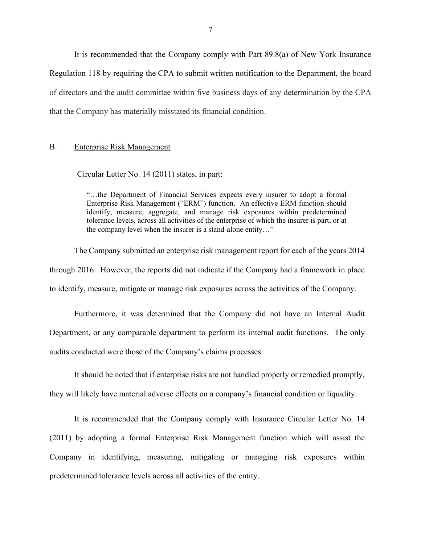It is recommended that the Company comply with Part 89.8(a) of New York Insurance Regulation 118 by requiring the CPA to submit written notification to the Department, the board of directors and the audit committee within five business days of any determination by the CPA that the Company has materially misstated its financial condition.

#### B. Enterprise Risk Management

Circular Letter No. 14 (2011) states, in part:

"…the Department of Financial Services expects every insurer to adopt a formal Enterprise Risk Management ("ERM") function. An effective ERM function should identify, measure, aggregate, and manage risk exposures within predetermined tolerance levels, across all activities of the enterprise of which the insurer is part, or at the company level when the insurer is a stand-alone entity…"

The Company submitted an enterprise risk management report for each of the years 2014 through 2016. However, the reports did not indicate if the Company had a framework in place to identify, measure, mitigate or manage risk exposures across the activities of the Company.

Furthermore, it was determined that the Company did not have an Internal Audit Department, or any comparable department to perform its internal audit functions. The only audits conducted were those of the Company's claims processes.

It should be noted that if enterprise risks are not handled properly or remedied promptly,

they will likely have material adverse effects on a company's financial condition or liquidity.

It is recommended that the Company comply with Insurance Circular Letter No. 14 (2011) by adopting a formal Enterprise Risk Management function which will assist the Company in identifying, measuring, mitigating or managing risk exposures within predetermined tolerance levels across all activities of the entity.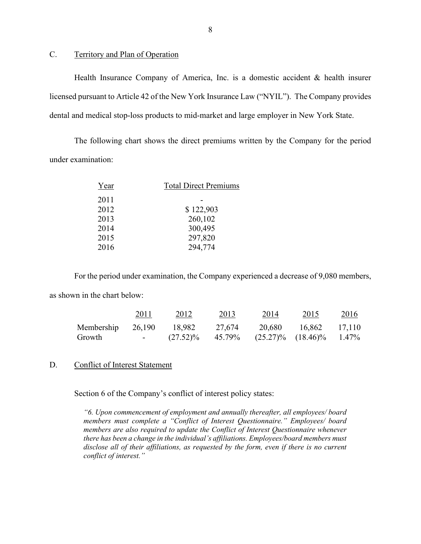#### C. Territory and Plan of Operation

Health Insurance Company of America, Inc. is a domestic accident & health insurer licensed pursuant to Article 42 of the New York Insurance Law ("NYIL"). The Company provides dental and medical stop-loss products to mid-market and large employer in New York State.

The following chart shows the direct premiums written by the Company for the period under examination:

| Year | <b>Total Direct Premiums</b> |  |  |
|------|------------------------------|--|--|
| 2011 |                              |  |  |
| 2012 | \$122,903                    |  |  |
| 2013 | 260,102                      |  |  |
| 2014 | 300,495                      |  |  |
| 2015 | 297,820                      |  |  |
| 2016 | 294,774                      |  |  |
|      |                              |  |  |

For the period under examination, the Company experienced a decrease of 9,080 members,

as shown in the chart below:

|                             | 2011           | 2012                  | 2013   | 2014                                     | 2015          | 2016 |
|-----------------------------|----------------|-----------------------|--------|------------------------------------------|---------------|------|
| Membership 26,190<br>Growth | <b>Service</b> | 18,982<br>$(27.52)\%$ | 27,674 | 20,680<br>45.79% (25.27)% (18.46)% 1.47% | 16,862 17,110 |      |

#### D. Conflict of Interest Statement

Section 6 of the Company's conflict of interest policy states:

*"6. Upon commencement of employment and annually thereafter, all employees/ board members must complete a "Conflict of Interest Questionnaire." Employees/ board members are also required to update the Conflict of Interest Questionnaire whenever there has been a change in the individual's affiliations. Employees/board members must disclose all of their affiliations, as requested by the form, even if there is no current conflict of interest."*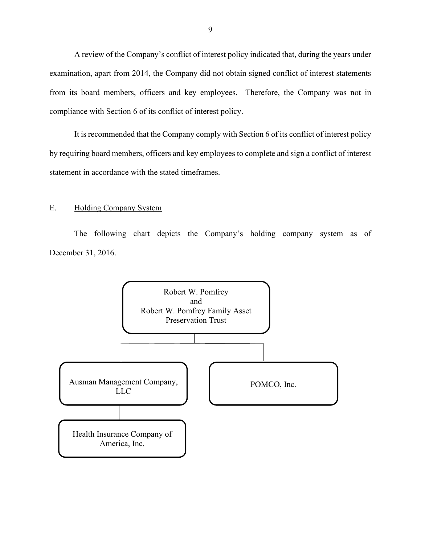A review of the Company's conflict of interest policy indicated that, during the years under examination, apart from 2014, the Company did not obtain signed conflict of interest statements from its board members, officers and key employees. Therefore, the Company was not in compliance with Section 6 of its conflict of interest policy.

It is recommended that the Company comply with Section 6 of its conflict of interest policy by requiring board members, officers and key employees to complete and sign a conflict of interest statement in accordance with the stated timeframes.

#### E. Holding Company System

The following chart depicts the Company's holding company system as of December 31, 2016.

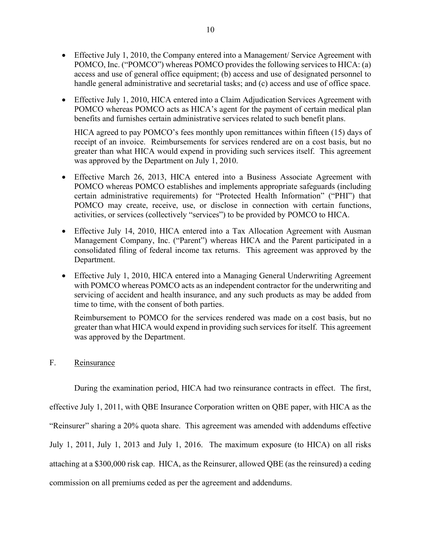- Effective July 1, 2010, the Company entered into a Management/ Service Agreement with POMCO, Inc. ("POMCO") whereas POMCO provides the following services to HICA: (a) access and use of general office equipment; (b) access and use of designated personnel to handle general administrative and secretarial tasks; and (c) access and use of office space.
- Effective July 1, 2010, HICA entered into a Claim Adjudication Services Agreement with POMCO whereas POMCO acts as HICA's agent for the payment of certain medical plan benefits and furnishes certain administrative services related to such benefit plans.

HICA agreed to pay POMCO's fees monthly upon remittances within fifteen (15) days of receipt of an invoice. Reimbursements for services rendered are on a cost basis, but no greater than what HICA would expend in providing such services itself. This agreement was approved by the Department on July 1, 2010.

- Effective March 26, 2013, HICA entered into a Business Associate Agreement with POMCO whereas POMCO establishes and implements appropriate safeguards (including certain administrative requirements) for "Protected Health Information" ("PHI") that POMCO may create, receive, use, or disclose in connection with certain functions, activities, or services (collectively "services") to be provided by POMCO to HICA.
- Effective July 14, 2010, HICA entered into a Tax Allocation Agreement with Ausman Management Company, Inc. ("Parent") whereas HICA and the Parent participated in a consolidated filing of federal income tax returns. This agreement was approved by the Department.
- Effective July 1, 2010, HICA entered into a Managing General Underwriting Agreement with POMCO whereas POMCO acts as an independent contractor for the underwriting and servicing of accident and health insurance, and any such products as may be added from time to time, with the consent of both parties.

Reimbursement to POMCO for the services rendered was made on a cost basis, but no greater than what HICA would expend in providing such services for itself. This agreement was approved by the Department.

### F. Reinsurance

During the examination period, HICA had two reinsurance contracts in effect. The first,

effective July 1, 2011, with QBE Insurance Corporation written on QBE paper, with HICA as the "Reinsurer" sharing a 20% quota share. This agreement was amended with addendums effective July 1, 2011, July 1, 2013 and July 1, 2016. The maximum exposure (to HICA) on all risks attaching at a \$300,000 risk cap. HICA, as the Reinsurer, allowed QBE (as the reinsured) a ceding commission on all premiums ceded as per the agreement and addendums.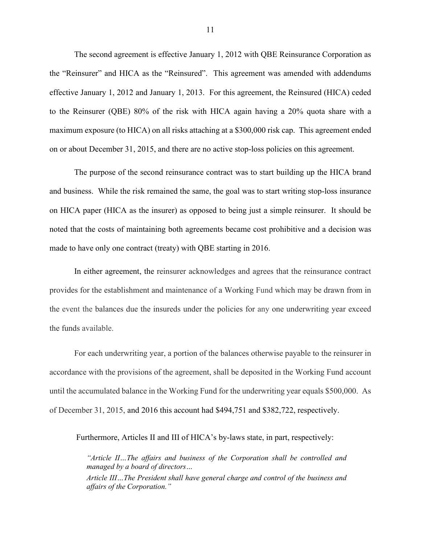The second agreement is effective January 1, 2012 with QBE Reinsurance Corporation as the "Reinsurer" and HICA as the "Reinsured". This agreement was amended with addendums effective January 1, 2012 and January 1, 2013. For this agreement, the Reinsured (HICA) ceded to the Reinsurer (QBE) 80% of the risk with HICA again having a 20% quota share with a maximum exposure (to HICA) on all risks attaching at a \$300,000 risk cap. This agreement ended on or about December 31, 2015, and there are no active stop-loss policies on this agreement.

The purpose of the second reinsurance contract was to start building up the HICA brand and business. While the risk remained the same, the goal was to start writing stop-loss insurance on HICA paper (HICA as the insurer) as opposed to being just a simple reinsurer. It should be noted that the costs of maintaining both agreements became cost prohibitive and a decision was made to have only one contract (treaty) with QBE starting in 2016.

In either agreement, the reinsurer acknowledges and agrees that the reinsurance contract provides for the establishment and maintenance of a Working Fund which may be drawn from in the event the balances due the insureds under the policies for any one underwriting year exceed the funds available.

For each underwriting year, a portion of the balances otherwise payable to the reinsurer in accordance with the provisions of the agreement, shall be deposited in the Working Fund account until the accumulated balance in the Working Fund for the underwriting year equals \$500,000. As of December 31, 2015, and 2016 this account had \$494,751 and \$382,722, respectively.

Furthermore, Articles II and III of HICA's by-laws state, in part, respectively:

*"Article II…The affairs and business of the Corporation shall be controlled and managed by a board of directors…*

*Article III…The President shall have general charge and control of the business and affairs of the Corporation."*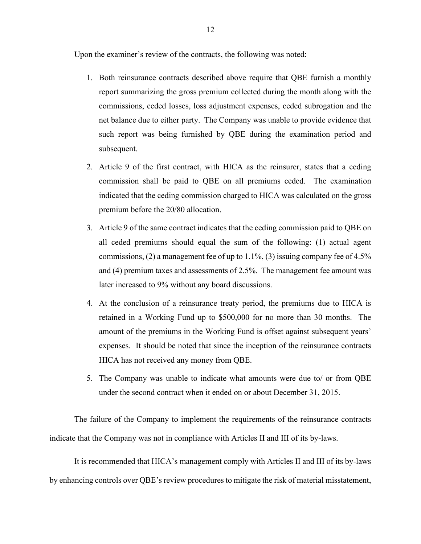Upon the examiner's review of the contracts, the following was noted:

- 1. Both reinsurance contracts described above require that QBE furnish a monthly report summarizing the gross premium collected during the month along with the commissions, ceded losses, loss adjustment expenses, ceded subrogation and the net balance due to either party. The Company was unable to provide evidence that such report was being furnished by QBE during the examination period and subsequent.
- 2. Article 9 of the first contract, with HICA as the reinsurer, states that a ceding commission shall be paid to QBE on all premiums ceded. The examination indicated that the ceding commission charged to HICA was calculated on the gross premium before the 20/80 allocation.
- 3. Article 9 of the same contract indicates that the ceding commission paid to QBE on all ceded premiums should equal the sum of the following: (1) actual agent commissions, (2) a management fee of up to 1.1%, (3) issuing company fee of 4.5% and (4) premium taxes and assessments of 2.5%. The management fee amount was later increased to 9% without any board discussions.
- 4. At the conclusion of a reinsurance treaty period, the premiums due to HICA is retained in a Working Fund up to \$500,000 for no more than 30 months. The amount of the premiums in the Working Fund is offset against subsequent years' expenses. It should be noted that since the inception of the reinsurance contracts HICA has not received any money from QBE.
- 5. The Company was unable to indicate what amounts were due to/ or from QBE under the second contract when it ended on or about December 31, 2015.

The failure of the Company to implement the requirements of the reinsurance contracts indicate that the Company was not in compliance with Articles II and III of its by-laws.

It is recommended that HICA's management comply with Articles II and III of its by-laws by enhancing controls over QBE's review procedures to mitigate the risk of material misstatement,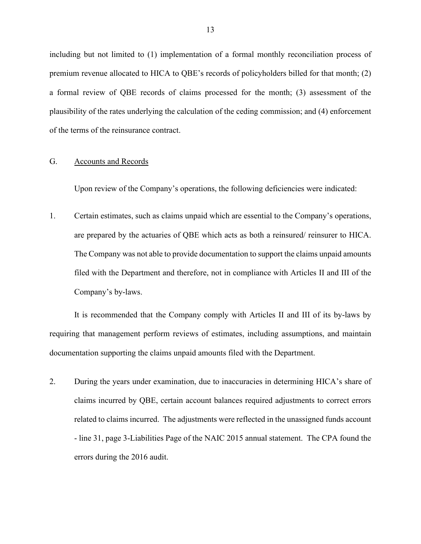including but not limited to (1) implementation of a formal monthly reconciliation process of premium revenue allocated to HICA to QBE's records of policyholders billed for that month; (2) a formal review of QBE records of claims processed for the month; (3) assessment of the plausibility of the rates underlying the calculation of the ceding commission; and (4) enforcement of the terms of the reinsurance contract.

#### G. Accounts and Records

Upon review of the Company's operations, the following deficiencies were indicated:

1. Certain estimates, such as claims unpaid which are essential to the Company's operations, are prepared by the actuaries of QBE which acts as both a reinsured/ reinsurer to HICA. The Company was not able to provide documentation to support the claims unpaid amounts filed with the Department and therefore, not in compliance with Articles II and III of the Company's by-laws.

It is recommended that the Company comply with Articles II and III of its by-laws by requiring that management perform reviews of estimates, including assumptions, and maintain documentation supporting the claims unpaid amounts filed with the Department.

2. During the years under examination, due to inaccuracies in determining HICA's share of claims incurred by QBE, certain account balances required adjustments to correct errors related to claims incurred. The adjustments were reflected in the unassigned funds account - line 31, page 3-Liabilities Page of the NAIC 2015 annual statement. The CPA found the errors during the 2016 audit.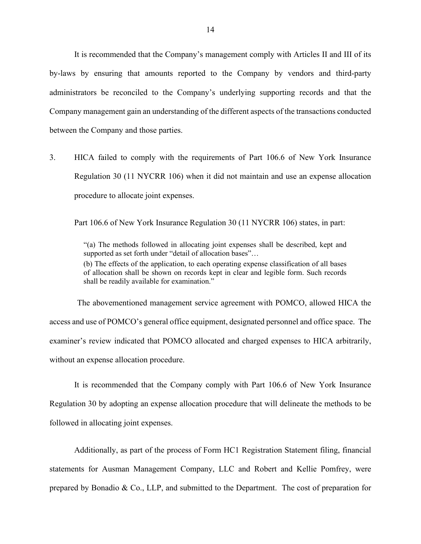It is recommended that the Company's management comply with Articles II and III of its by-laws by ensuring that amounts reported to the Company by vendors and third-party administrators be reconciled to the Company's underlying supporting records and that the Company management gain an understanding of the different aspects of the transactions conducted between the Company and those parties.

3. HICA failed to comply with the requirements of Part 106.6 of New York Insurance Regulation 30 (11 NYCRR 106) when it did not maintain and use an expense allocation procedure to allocate joint expenses.

Part 106.6 of New York Insurance Regulation 30 (11 NYCRR 106) states, in part:

"(a) The methods followed in allocating joint expenses shall be described, kept and supported as set forth under "detail of allocation bases"... (b) The effects of the application, to each operating expense classification of all bases of allocation shall be shown on records kept in clear and legible form. Such records shall be readily available for examination."

The abovementioned management service agreement with POMCO, allowed HICA the access and use of POMCO's general office equipment, designated personnel and office space. The examiner's review indicated that POMCO allocated and charged expenses to HICA arbitrarily, without an expense allocation procedure.

It is recommended that the Company comply with Part 106.6 of New York Insurance Regulation 30 by adopting an expense allocation procedure that will delineate the methods to be followed in allocating joint expenses.

Additionally, as part of the process of Form HC1 Registration Statement filing, financial statements for Ausman Management Company, LLC and Robert and Kellie Pomfrey, were prepared by Bonadio & Co., LLP, and submitted to the Department. The cost of preparation for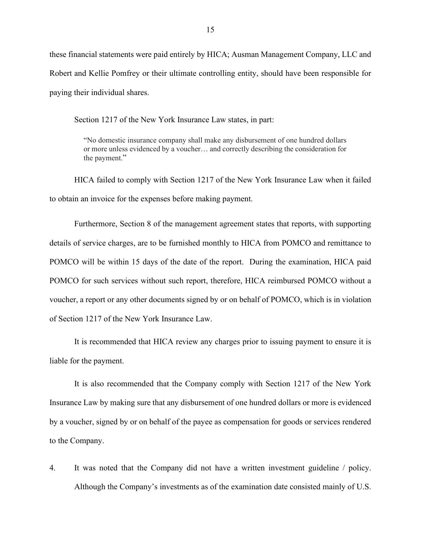these financial statements were paid entirely by HICA; Ausman Management Company, LLC and Robert and Kellie Pomfrey or their ultimate controlling entity, should have been responsible for paying their individual shares.

Section 1217 of the New York Insurance Law states, in part:

"No domestic insurance company shall make any disbursement of one hundred dollars or more unless evidenced by a voucher… and correctly describing the consideration for the payment."

HICA failed to comply with Section 1217 of the New York Insurance Law when it failed to obtain an invoice for the expenses before making payment.

Furthermore, Section 8 of the management agreement states that reports, with supporting details of service charges, are to be furnished monthly to HICA from POMCO and remittance to POMCO will be within 15 days of the date of the report. During the examination, HICA paid POMCO for such services without such report, therefore, HICA reimbursed POMCO without a voucher, a report or any other documents signed by or on behalf of POMCO, which is in violation of Section 1217 of the New York Insurance Law.

It is recommended that HICA review any charges prior to issuing payment to ensure it is liable for the payment.

It is also recommended that the Company comply with Section 1217 of the New York Insurance Law by making sure that any disbursement of one hundred dollars or more is evidenced by a voucher, signed by or on behalf of the payee as compensation for goods or services rendered to the Company.

4. It was noted that the Company did not have a written investment guideline / policy. Although the Company's investments as of the examination date consisted mainly of U.S.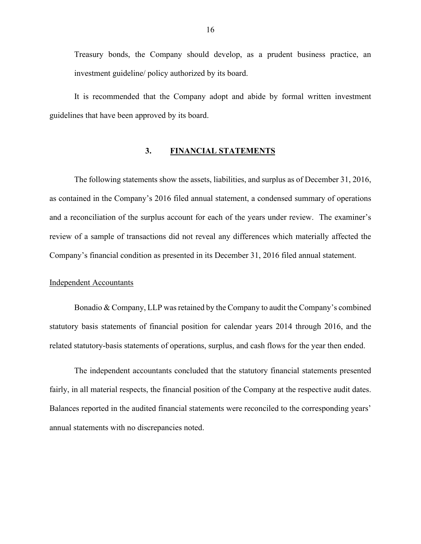Treasury bonds, the Company should develop, as a prudent business practice, an investment guideline/ policy authorized by its board.

It is recommended that the Company adopt and abide by formal written investment guidelines that have been approved by its board.

#### **3. FINANCIAL STATEMENTS**

The following statements show the assets, liabilities, and surplus as of December 31, 2016, as contained in the Company's 2016 filed annual statement, a condensed summary of operations and a reconciliation of the surplus account for each of the years under review. The examiner's review of a sample of transactions did not reveal any differences which materially affected the Company's financial condition as presented in its December 31, 2016 filed annual statement.

#### Independent Accountants

Bonadio & Company, LLP was retained by the Company to audit the Company's combined statutory basis statements of financial position for calendar years 2014 through 2016, and the related statutory-basis statements of operations, surplus, and cash flows for the year then ended.

The independent accountants concluded that the statutory financial statements presented fairly, in all material respects, the financial position of the Company at the respective audit dates. Balances reported in the audited financial statements were reconciled to the corresponding years' annual statements with no discrepancies noted.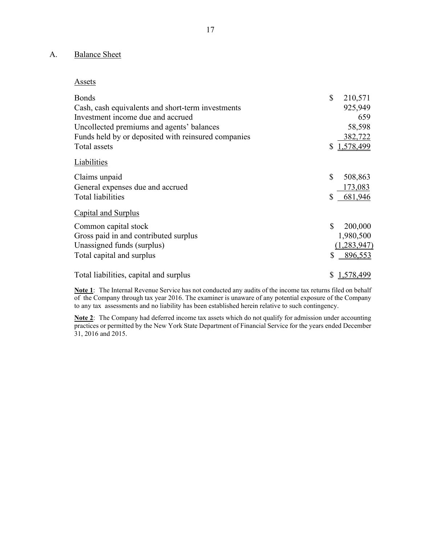### A. Balance Sheet

#### Assets

| <b>Bonds</b>                                        | \$           | 210,571     |
|-----------------------------------------------------|--------------|-------------|
| Cash, cash equivalents and short-term investments   |              | 925,949     |
| Investment income due and accrued                   |              | 659         |
| Uncollected premiums and agents' balances           |              | 58,598      |
| Funds held by or deposited with reinsured companies |              | 382,722     |
| Total assets                                        |              | \$1,578,499 |
| Liabilities                                         |              |             |
| Claims unpaid                                       | \$           | 508,863     |
| General expenses due and accrued                    |              | 173,083     |
| <b>Total liabilities</b>                            | \$           | 681,946     |
| Capital and Surplus                                 |              |             |
| Common capital stock                                | $\mathbb{S}$ | 200,000     |
| Gross paid in and contributed surplus               |              | 1,980,500   |
| Unassigned funds (surplus)                          |              | (1,283,947) |
| Total capital and surplus                           | \$           | 896,553     |
| Total liabilities, capital and surplus              | \$           | 1,578,499   |

**Note 1**: The Internal Revenue Service has not conducted any audits of the income tax returns filed on behalf of the Company through tax year 2016. The examiner is unaware of any potential exposure of the Company to any tax assessments and no liability has been established herein relative to such contingency.

**Note 2**: The Company had deferred income tax assets which do not qualify for admission under accounting practices or permitted by the New York State Department of Financial Service for the years ended December 31, 2016 and 2015.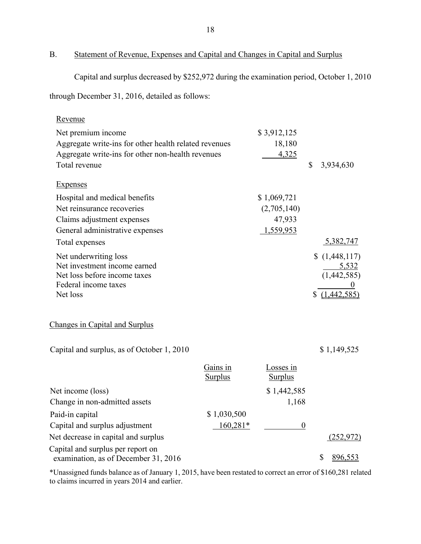## B. Statement of Revenue, Expenses and Capital and Changes in Capital and Surplus

Capital and surplus decreased by \$252,972 during the examination period, October 1, 2010

through December 31, 2016, detailed as follows:

| Revenue                                                                   |                |                  |                 |
|---------------------------------------------------------------------------|----------------|------------------|-----------------|
| Net premium income                                                        |                | \$3,912,125      |                 |
| Aggregate write-ins for other health related revenues                     |                | 18,180           |                 |
| Aggregate write-ins for other non-health revenues                         |                | 4,325            |                 |
| Total revenue                                                             |                |                  | \$<br>3,934,630 |
| <b>Expenses</b>                                                           |                |                  |                 |
| Hospital and medical benefits                                             |                | \$1,069,721      |                 |
| Net reinsurance recoveries                                                |                | (2,705,140)      |                 |
| Claims adjustment expenses                                                |                | 47,933           |                 |
| General administrative expenses                                           |                | 1,559,953        |                 |
| Total expenses                                                            |                |                  | 5,382,747       |
| Net underwriting loss                                                     |                |                  | \$(1,448,117)   |
| Net investment income earned                                              |                |                  | 5,532           |
| Net loss before income taxes<br>Federal income taxes                      |                |                  | (1,442,585)     |
| Net loss                                                                  |                |                  | \$(1,442,585)   |
|                                                                           |                |                  |                 |
| Changes in Capital and Surplus                                            |                |                  |                 |
| Capital and surplus, as of October 1, 2010                                |                |                  | \$1,149,525     |
|                                                                           | Gains in       | Losses in        |                 |
|                                                                           | <b>Surplus</b> | <b>Surplus</b>   |                 |
| Net income (loss)                                                         |                | \$1,442,585      |                 |
| Change in non-admitted assets                                             |                | 1,168            |                 |
| Paid-in capital                                                           | \$1,030,500    |                  |                 |
| Capital and surplus adjustment                                            | 160,281*       | $\boldsymbol{0}$ |                 |
| Net decrease in capital and surplus                                       |                |                  | (252, 972)      |
| Capital and surplus per report on<br>examination, as of December 31, 2016 |                |                  | 896,553<br>\$   |

\*Unassigned funds balance as of January 1, 2015, have been restated to correct an error of \$160,281 related to claims incurred in years 2014 and earlier.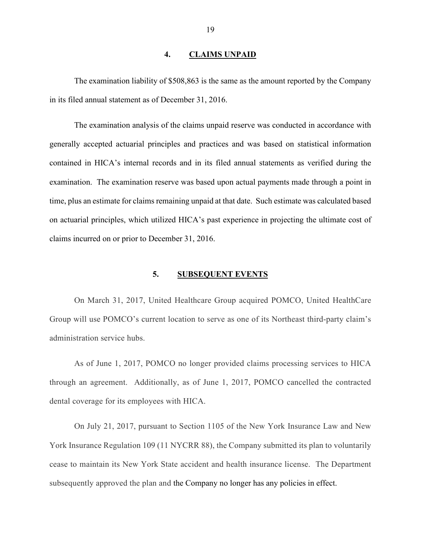#### **4. CLAIMS UNPAID**

The examination liability of \$508,863 is the same as the amount reported by the Company in its filed annual statement as of December 31, 2016.

The examination analysis of the claims unpaid reserve was conducted in accordance with generally accepted actuarial principles and practices and was based on statistical information contained in HICA's internal records and in its filed annual statements as verified during the examination. The examination reserve was based upon actual payments made through a point in time, plus an estimate for claims remaining unpaid at that date. Such estimate was calculated based on actuarial principles, which utilized HICA's past experience in projecting the ultimate cost of claims incurred on or prior to December 31, 2016.

#### **5. SUBSEQUENT EVENTS**

On March 31, 2017, United Healthcare Group acquired POMCO, United HealthCare Group will use POMCO's current location to serve as one of its Northeast third-party claim's administration service hubs.

As of June 1, 2017, POMCO no longer provided claims processing services to HICA through an agreement. Additionally, as of June 1, 2017, POMCO cancelled the contracted dental coverage for its employees with HICA.

On July 21, 2017, pursuant to Section 1105 of the New York Insurance Law and New York Insurance Regulation 109 (11 NYCRR 88), the Company submitted its plan to voluntarily cease to maintain its New York State accident and health insurance license. The Department subsequently approved the plan and the Company no longer has any policies in effect.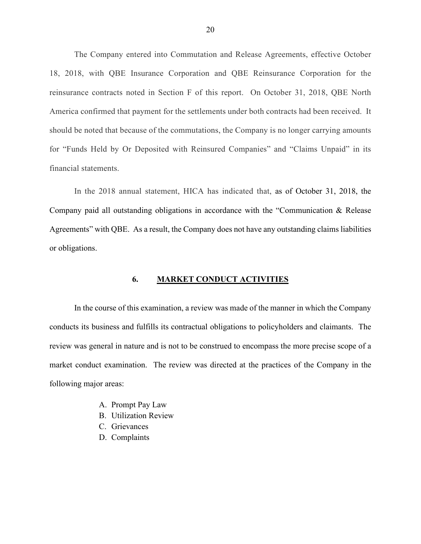The Company entered into Commutation and Release Agreements, effective October 18, 2018, with QBE Insurance Corporation and QBE Reinsurance Corporation for the reinsurance contracts noted in Section F of this report. On October 31, 2018, QBE North America confirmed that payment for the settlements under both contracts had been received. It should be noted that because of the commutations, the Company is no longer carrying amounts for "Funds Held by Or Deposited with Reinsured Companies" and "Claims Unpaid" in its financial statements.

In the 2018 annual statement, HICA has indicated that, as of October 31, 2018, the Company paid all outstanding obligations in accordance with the "Communication & Release Agreements" with QBE. As a result, the Company does not have any outstanding claims liabilities or obligations.

#### **6. MARKET CONDUCT ACTIVITIES**

In the course of this examination, a review was made of the manner in which the Company conducts its business and fulfills its contractual obligations to policyholders and claimants. The review was general in nature and is not to be construed to encompass the more precise scope of a market conduct examination. The review was directed at the practices of the Company in the following major areas:

- A. Prompt Pay Law
- B. Utilization Review
- C. Grievances
- D. Complaints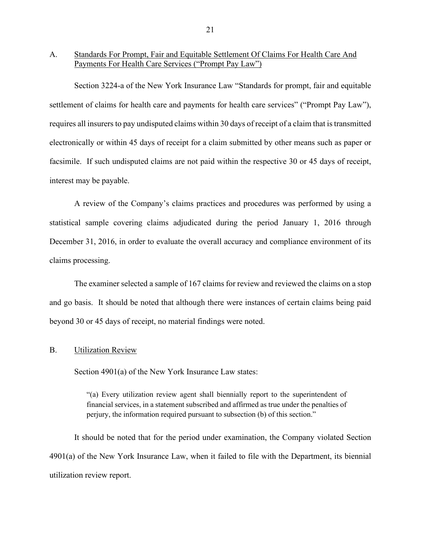#### A. Standards For Prompt, Fair and Equitable Settlement Of Claims For Health Care And Payments For Health Care Services ("Prompt Pay Law")

Section 3224-a of the New York Insurance Law "Standards for prompt, fair and equitable settlement of claims for health care and payments for health care services" ("Prompt Pay Law"), requires all insurers to pay undisputed claims within 30 days of receipt of a claim that is transmitted electronically or within 45 days of receipt for a claim submitted by other means such as paper or facsimile. If such undisputed claims are not paid within the respective 30 or 45 days of receipt, interest may be payable.

A review of the Company's claims practices and procedures was performed by using a statistical sample covering claims adjudicated during the period January 1, 2016 through December 31, 2016, in order to evaluate the overall accuracy and compliance environment of its claims processing.

The examiner selected a sample of 167 claims for review and reviewed the claims on a stop and go basis. It should be noted that although there were instances of certain claims being paid beyond 30 or 45 days of receipt, no material findings were noted.

#### B. Utilization Review

Section 4901(a) of the New York Insurance Law states:

"(a) Every utilization review agent shall biennially report to the superintendent of financial services, in a statement subscribed and affirmed as true under the penalties of perjury, the information required pursuant to subsection (b) of this section."

It should be noted that for the period under examination, the Company violated Section 4901(a) of the New York Insurance Law, when it failed to file with the Department, its biennial utilization review report.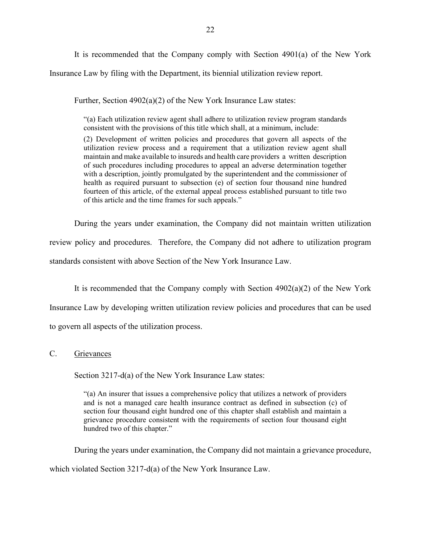It is recommended that the Company comply with Section 4901(a) of the New York Insurance Law by filing with the Department, its biennial utilization review report.

Further, Section 4902(a)(2) of the New York Insurance Law states:

"(a) Each utilization review agent shall adhere to utilization review program standards consistent with the provisions of this title which shall, at a minimum, include:

(2) Development of written policies and procedures that govern all aspects of the utilization review process and a requirement that a utilization review agent shall maintain and make available to insureds and health care providers a written description of such procedures including procedures to appeal an adverse determination together with a description, jointly promulgated by the superintendent and the commissioner of health as required pursuant to subsection (e) of section four thousand nine hundred fourteen of this article, of the external appeal process established pursuant to title two of this article and the time frames for such appeals."

During the years under examination, the Company did not maintain written utilization review policy and procedures. Therefore, the Company did not adhere to utilization program standards consistent with above Section of the New York Insurance Law.

It is recommended that the Company comply with Section  $4902(a)(2)$  of the New York Insurance Law by developing written utilization review policies and procedures that can be used to govern all aspects of the utilization process.

#### C. Grievances

Section 3217-d(a) of the New York Insurance Law states:

"(a) An insurer that issues a comprehensive policy that utilizes a network of providers and is not a managed care health insurance contract as defined in subsection (c) of section four thousand eight hundred one of this chapter shall establish and maintain a grievance procedure consistent with the requirements of section four thousand eight hundred two of this chapter."

During the years under examination, the Company did not maintain a grievance procedure,

which violated Section 3217-d(a) of the New York Insurance Law.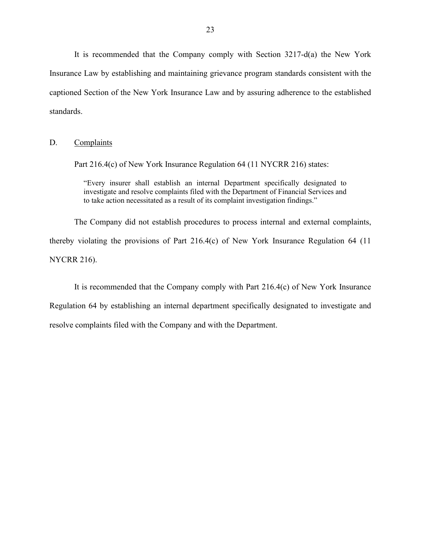It is recommended that the Company comply with Section 3217-d(a) the New York Insurance Law by establishing and maintaining grievance program standards consistent with the captioned Section of the New York Insurance Law and by assuring adherence to the established standards.

D. Complaints

Part 216.4(c) of New York Insurance Regulation 64 (11 NYCRR 216) states:

"Every insurer shall establish an internal Department specifically designated to investigate and resolve complaints filed with the Department of Financial Services and to take action necessitated as a result of its complaint investigation findings."

The Company did not establish procedures to process internal and external complaints, thereby violating the provisions of Part 216.4(c) of New York Insurance Regulation 64 (11 NYCRR 216).

It is recommended that the Company comply with Part 216.4(c) of New York Insurance Regulation 64 by establishing an internal department specifically designated to investigate and resolve complaints filed with the Company and with the Department.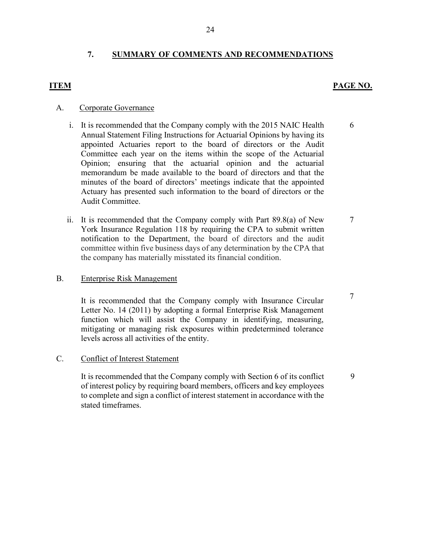#### **7. SUMMARY OF COMMENTS AND RECOMMENDATIONS**

#### **ITEM PAGE NO.**

#### A. Corporate Governance

- i. It is recommended that the Company comply with the 2015 NAIC Health Annual Statement Filing Instructions for Actuarial Opinions by having its appointed Actuaries report to the board of directors or the Audit Committee each year on the items within the scope of the Actuarial Opinion; ensuring that the actuarial opinion and the actuarial memorandum be made available to the board of directors and that the minutes of the board of directors' meetings indicate that the appointed Actuary has presented such information to the board of directors or the Audit Committee.
- ii. It is recommended that the Company comply with Part 89.8(a) of New York Insurance Regulation 118 by requiring the CPA to submit written notification to the Department, the board of directors and the audit committee within five business days of any determination by the CPA that the company has materially misstated its financial condition.

#### B. Enterprise Risk Management

It is recommended that the Company comply with Insurance Circular Letter No. 14 (2011) by adopting a formal Enterprise Risk Management function which will assist the Company in identifying, measuring, mitigating or managing risk exposures within predetermined tolerance levels across all activities of the entity.

#### C. Conflict of Interest Statement

It is recommended that the Company comply with Section 6 of its conflict of interest policy by requiring board members, officers and key employees to complete and sign a conflict of interest statement in accordance with the stated timeframes.

6

7

7

9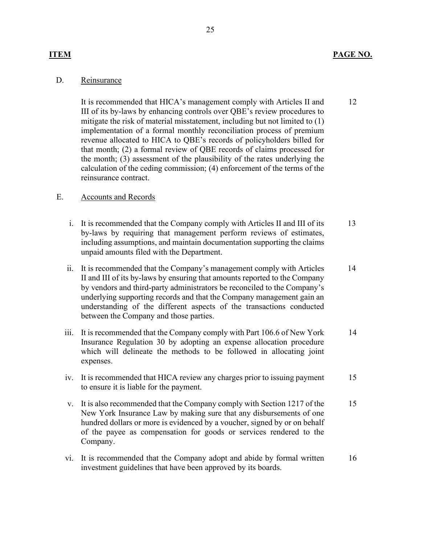#### **ITEM PAGE NO.**

12

#### D. Reinsurance

It is recommended that HICA's management comply with Articles II and III of its by-laws by enhancing controls over QBE's review procedures to mitigate the risk of material misstatement, including but not limited to (1) implementation of a formal monthly reconciliation process of premium revenue allocated to HICA to QBE's records of policyholders billed for that month; (2) a formal review of QBE records of claims processed for the month; (3) assessment of the plausibility of the rates underlying the calculation of the ceding commission; (4) enforcement of the terms of the reinsurance contract.

#### E. Accounts and Records

- i. It is recommended that the Company comply with Articles II and III of its by-laws by requiring that management perform reviews of estimates, including assumptions, and maintain documentation supporting the claims unpaid amounts filed with the Department. 13
- ii. It is recommended that the Company's management comply with Articles II and III of its by-laws by ensuring that amounts reported to the Company by vendors and third-party administrators be reconciled to the Company's underlying supporting records and that the Company management gain an understanding of the different aspects of the transactions conducted between the Company and those parties. 14
- iii. It is recommended that the Company comply with Part 106.6 of New York Insurance Regulation 30 by adopting an expense allocation procedure which will delineate the methods to be followed in allocating joint expenses. 14
- iv. It is recommended that HICA review any charges prior to issuing payment to ensure it is liable for the payment. 15
- v. It is also recommended that the Company comply with Section 1217 of the New York Insurance Law by making sure that any disbursements of one hundred dollars or more is evidenced by a voucher, signed by or on behalf of the payee as compensation for goods or services rendered to the Company. 15
- vi. It is recommended that the Company adopt and abide by formal written investment guidelines that have been approved by its boards. 16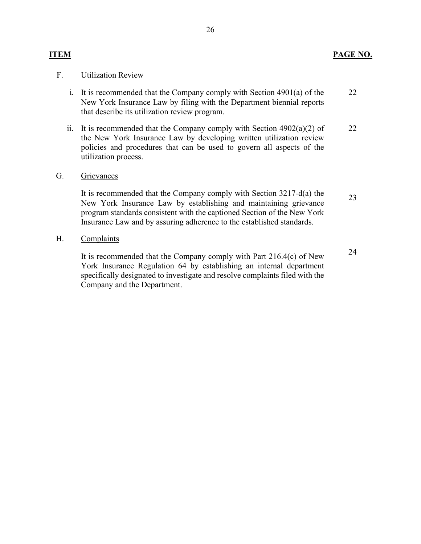#### **ITEM PAGE NO.**

#### F. Utilization Review

- i. It is recommended that the Company comply with Section 4901(a) of the New York Insurance Law by filing with the Department biennial reports that describe its utilization review program. 22
- ii. It is recommended that the Company comply with Section  $4902(a)(2)$  of the New York Insurance Law by developing written utilization review policies and procedures that can be used to govern all aspects of the utilization process. 22
- G. Grievances

It is recommended that the Company comply with Section 3217-d(a) the New York Insurance Law by establishing and maintaining grievance program standards consistent with the captioned Section of the New York Insurance Law and by assuring adherence to the established standards. 23

H. Complaints

It is recommended that the Company comply with Part 216.4(c) of New York Insurance Regulation 64 by establishing an internal department specifically designated to investigate and resolve complaints filed with the Company and the Department. 24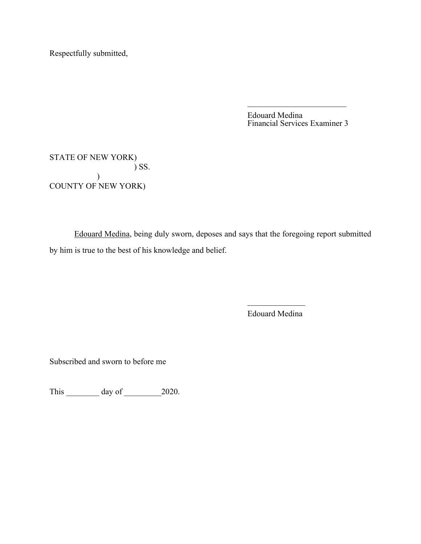Respectfully submitted,

Edouard Medina Financial Services Examiner 3

STATE OF NEW YORK) ) SS.  $\mathcal{L}$ COUNTY OF NEW YORK)

Edouard Medina, being duly sworn, deposes and says that the foregoing report submitted by him is true to the best of his knowledge and belief.

> $\mathcal{L}_\text{max}$ Edouard Medina

Subscribed and sworn to before me

This \_\_\_\_\_\_\_\_\_ day of \_\_\_\_\_\_\_\_\_\_ 2020.